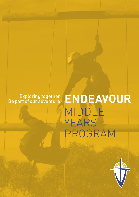## Exploring together<br>Be part of our adventure

# MIDDLE **YEARS** PROGRAM **ENDEAVOUR**

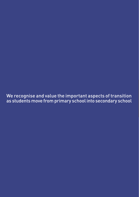We recognise and value the important aspects of transition as students move from primary school into secondary school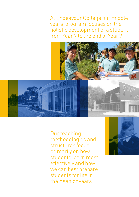At Endeavour College our middle years' program focuses on the holistic development of a student from Year 7 to the end of Year 9



Our teaching methodologies and structures focus primarily on how students learn most effectively and how we can best prepare students for life in their senior years

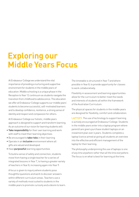### **Exploring our Middle Years Focus**

At Endeavour College we understand the vital importance of providing a nurturing and supportive environment for students in the middle years of education. Middle schooling is a unique phase in the Reception to Year 12 continuum as students navigate the transition from childhood to adolescence. The education we offer at Endeavour College supports our middle years' students to become successful, self-motivated learners and to develop confidence, resilience, a strong sense of identity and respect and compassion for others.

At Endeavour College our holistic, middle years approach is designed to support and transform learning. As an outcome of our vision for learning students will:

- Take responsibility for their own learning and work with staff to meet their learning objectives
- Be encouraged to take risks in their learning
- Operate in an inclusive environment where all gifts are valued and developed
- Have purposeful learning opportunities

To build a sense of safety and connection, students move from having a single teacher for a series of integrated lessons in Year 7, to having a greater variety of teachers in Year 8, increasing again into Year 9.

A focus is given to inquiry where students pose thoughtful questions and work to discover answers within different curriculum areas. Teachers use a variety of methods most suited to students in the middle years to promote curiosity and a desire to learn. The timetable is structured in Year 7 and where possible in Year 8, to provide opportunity for classes to work collaboratively.

Flexibility in assessment and learning opportunities allow for the curriculum to better meet the needs and interests of students all within the framework of the Australian Curriculum.

The physical spaces for students in the middle years are designed for flexibility, comfort and collaboration.

LAPTOPS The use of technology to support learning is actively encouraged at Endeavour College. Students in the middle years enter into a laptop program where parent/care givers purchase student laptops on an instalment plan over 4 years. Students complete a laptop licence aimed at giving all students an overview into the effective and efficient management of the laptop for their learning.

The philosophy underpinning the use of laptops is one of a*ny time anywhere rather than all the time everywhere*. The focus is on what is best for learning at the time.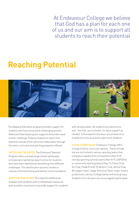At Endeavour College we believe that God has a plan for each one of us and our aim is to support all students to reach their potential

### **Reaching Potential**



 The Adaptive Education program provides support for students who find school work challenging and the Gifted and Talented program supports those who need further challenge. Helping students to reach their potential outside of the classroom takes place through the extra-curricular and sporting programs offered.

**GIFTED AND TALENTED** The Gifted and Talented Program offers a broad range of both withdrawal and specialist workshop opportunities for students who have been identified as benefitting from different challenges. The identification process involves a mixture of formal testing and teacher recommendation.

ADAPTIVE EDUCATION This expertly staffed area engages with students both in withdrawal classes as well as within classrooms to provide support for students with varying needs. All students are welcome to visit `the Hub', as it is known, for extra support as needed. A Homework Club also runs at least once a week from this area and is open to all students.

EXTRA-CURRICULAR Endeavour College offers a range of extra-curricular options. These include but are not limited to various sporting teams that compete in weekly Vista competitions (Year 8-9), one day sporting carnival teams (Year 8-9), SAPSASA or community sporting teams (Year 7), Chess Club, Art Club, Pedal Prix (8-9), Writers' Club, Anime Club, AV support team, Stage Technical Team, major drama productions, various College bands and vocal groups. Students from all years are encouraged to participate.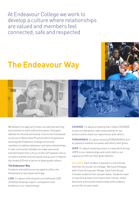At Endeavour College we work to develop a culture where relationships are valued and members feel connected, safe and respected

### **The Endeavour Way**

We believe this approach fosters an optimal learning environment to fulfil staff and students' God given abilities for life and community. Core to this framework is a focus on Restorative Practices which emphasises working with Endeavour College community members to address behaviour and value relationships. It calls community members to make a personal transformation from a focus on the self towards a focus on others and the common good, and as such it reflects the model of Christ in terms of dealing with others.

#### **The Endeavour Way**

Students and staff are encouraged to reflect the following four key values each day:

LOVE It's about reflecting the unconditional LOVE of God by showing respect, compassion and kindness in our relationships.

COURAGE It's about accepting that it takes COURAGE to own our behaviour, take responsibility for our actions and to share our experiences with others.

FORGIVENESS It's about showing FORGIVENESS and acceptance towards ourselves and others with grace.

HOPE It's about resolving issues in a way which brings HOPE to our relationships and instils faith in our capacity to fulfil our God-given abilities.

VILLAGES Each student is placed in a Care Group that then forms part of a Village. We have 8 Villages with 3 Care Groups per Village. Each Care Group includes students from all year levels. Students meet in Care Group every morning to hear notices, share devotions and to build relationships with students across the six year levels.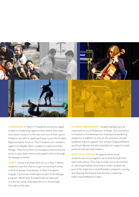

LEADERSHIP In Years 7-9 students are encouraged to take on leadership opportunities within their year level and in relation to the use and care of their space. Students are able to apply each year to join the Student Representative Council. Year 9 students are invited to apply to be Middle Years' Leaders to represent their Village. They are further encouraged to become more active in year level events and support others through the Voyage activities.

CAMPS Camp is an important focus in Year 7 where students have the chance to get to know each other and form deeper friendships. In Year 9 students engage in personal challenges as part of the Voyage program. While Year 8 students do not take part in a formal camp, they experience in-house days throughout the year.

STUDENT ENGAGEMENT Student wellbeing is an important focus at Endeavour College. Our counsellor is involved in the development of proactive wellbeing programs in addition to one on one sessions should students require support. Our school Chaplain/Pastor and Youth Worker are also available for support in both pastoral and spiritual matters.

SERVICE ACTIVITIES As opportunities arise students are encouraged to serve God through their work with others. This may include, but is not limited to, serving breakfast to primary school students as part of the Ingle Farm Hub Breakfast program, visiting the Helping Hand Aged Care facility or planting trees around Mawson Lakes.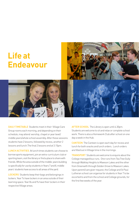

DAILY TIMETABLE Students meet in their Village Care Group rooms each morning, and depending on their schedule, may attend worship, chapel or year level/ middle years/whole school assembly. After these sessions students have 2 lessons, followed by recess, another 2 lessons and lunch.The final 2 lessons end at 3.15pm.

LUNCH ACTIVITIES At lunch times students can choose to borrow sports equipment, join an extra-curriculum club or sporting team, visit the library or find a place to share with friends. While the area outside of the middle years building is specifically for use by students in Years 7 and 8, middle years' students have access to all areas of the yard.

**LOCKERS** Students keep their bags and belongings in lockers. Year 7s have lockers in an area outside of their learning space. Year 8s and 9s have their lockers in their respective Village areas.

AFTER SCHOOL The Library is open until 4.30pm. Students are welcome to sit and relax or complete school work. There is also a Homework Club after school on one day a week in the Hub.

CANTEEN The Canteen is open each day for recess and lunch for both snacks and lunch orders. Lunch orders are filled out in Village time in the mornings.

TRANSPORT Students are welcome to enquire about the College managed bus runs. One runs from Tea Tree Gully through Walkley Heights to Mawson Lakes and the other from Greenwith through Golden Grove to Mawson Lakes. Upon parent/care giver request, the College and St Paul Lutheran school can organise for students in Year 7 to be escorted to and from the school and College grounds, for the first few weeks of the year.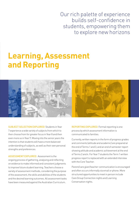Our rich palette of experience builds self-confidence in students, empowering them to explore new horizons

### **Learning, Assessment and Reporting**



SUBJECT SELECTION EXPLORED Students in Year 7 experience a wide variety of subjects from which to then choose from for greater focus in Year 8 and then even more so in Year 9. Moving into the senior years the intention is that students will have a more balanced understanding of subjects, as well as their own personal strengths and preferences.

ASSESSMENT EXPLORED Assessment is the ongoing process of gathering, analysing and reflecting on evidence to make informed and consistent judgments to improve future student learning. Teachers choose a variety of assessment methods, considering the purpose of the assessment, the skills and abilities of the students and the desired learning outcomes. All assessment tasks have been measured against the Australian Curriculum.

REPORTING EXPLORED Formal reporting is one process by which assessment information is communicated to families.

Currently, written reports in the form of progress grades and comments (attitude and academic) are prepared at the end of Terms 1 and 3, and an end of semester report showing attitude and academic achievement at the end of Terms 2 and 4. For Year 7 students the Term 1 written progress report is replaced with an extended interview with the Core Teacher.

Parent/care giver/teacher communication is encouraged and often occurs informally via email or phone. More structured opportunities to meet in person include Care Group Connection nights and Learning Conversation nights.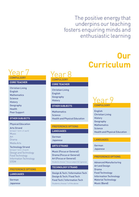The positive energy that underpins our teaching fosters enquiring minds and enthusiastic learning

## **Our Curriculum**



#### **CORE TEACHER**

Christian Living English **Mathematics** Science **History** Geography Health Peer Support

#### **OTHER SUBJECTS**

#### Physical Education

Arts Strand (at least 1 term of each) Music Art Drama Media Arts

#### Technology Strand

(at least 1 term of each) Design and Technology Food Technology Information Technology **STEM** 

#### PREFERENCE OPTIONS

#### **LANGUAGES**

German Japanese

# Year<sup>8</sup>

#### **CORE TEACHER**

Christian Living English Geography **History** 

#### **OTHER SUBJECTS**

**Mathematics** Science Health and Physical Education

#### PREFERENCE OPTIONS

#### **LANGUAGES**

German Japanese

#### **ARTS STRAND**

Music (Focus or General) Drama (Focus or General) Art (Focus or General) Students choose 1 focus subject & 2 general

#### **TECHNOLOGY STRAND**

Design & Tech / Information Tech Design & Tech / Food Tech Food Tech / Information Tech Students choose 1 of the above

### Year 9 COMPULSORY

English Christian Living **History** Geography **Mathematics** Science Health and Physical Education

#### **LANGUAGES**

German Japanese

#### PREFERENCE OPTIONS

Advanced Manufacturing Art and Design Drama Food Technology Information Technology Material Technology Music (Band)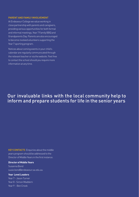#### PARENT AND FAMILY INVOLVEMENT

At Endeavour College we value working in close partnership with parents and caregivers, providing various opportunities for both formal and informal meetings, Year 7 Family BBQ and Grandparents Day. Parents are also encouraged to become involved volunteers supporting the Year 7 sporting program.

Notices about coming events in your child's calendar are regularly communicated through the relevant teacher or via the website. Feel free to contact the school should you require more information at any time.

### Our invaluable links with the local community help to inform and prepare students for life in the senior years

KEY CONTACTS Enquiries about the middle years program should be addressed to the Director of Middle Years in the first instance.

#### **Director of Middle Years**

Susanna Bond susie.bond@endeavour.sa.edu.au

#### **Year Level Leaders**

Year 7 - Jason Turner Year 8 - Simon Maddern Year 9 - Ben Crook